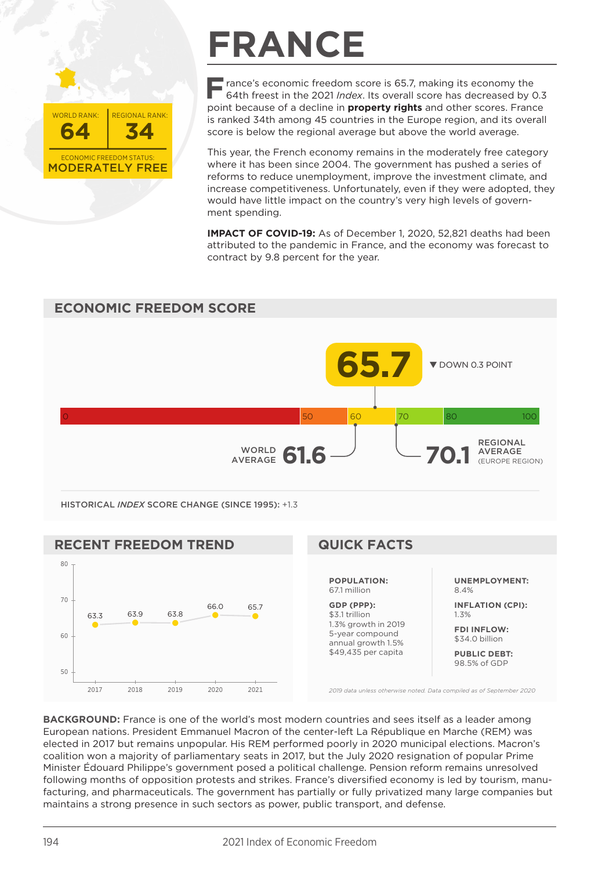

## **FRANCE**

**F** rance's economic freedom score is 65.7, making its economy the 64th freest in the 2021 *Index*. Its overall score has decreased by 0.3 point because of a decline in **property rights** and other scores. France is ranked 34th among 45 countries in the Europe region, and its overall score is below the regional average but above the world average.

This year, the French economy remains in the moderately free category where it has been since 2004. The government has pushed a series of reforms to reduce unemployment, improve the investment climate, and increase competitiveness. Unfortunately, even if they were adopted, they would have little impact on the country's very high levels of government spending.

**IMPACT OF COVID-19:** As of December 1, 2020, 52,821 deaths had been attributed to the pandemic in France, and the economy was forecast to contract by 9.8 percent for the year.



**BACKGROUND:** France is one of the world's most modern countries and sees itself as a leader among European nations. President Emmanuel Macron of the center-left La République en Marche (REM) was elected in 2017 but remains unpopular. His REM performed poorly in 2020 municipal elections. Macron's coalition won a majority of parliamentary seats in 2017, but the July 2020 resignation of popular Prime Minister Édouard Philippe's government posed a political challenge. Pension reform remains unresolved following months of opposition protests and strikes. France's diversified economy is led by tourism, manufacturing, and pharmaceuticals. The government has partially or fully privatized many large companies but maintains a strong presence in such sectors as power, public transport, and defense.